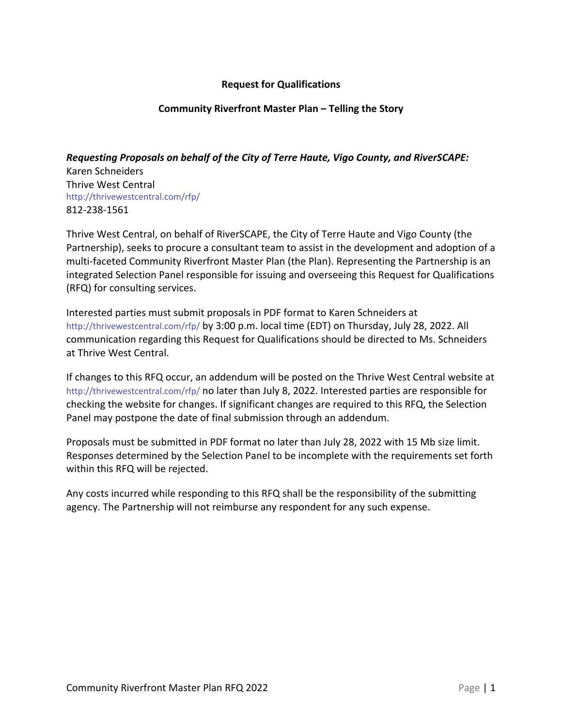## **Request for Qualifications**

## **Community Riverfront Master Plan – Telling the Story**

*Requesting Proposals on behalf of the City of Terre Haute, Vigo County, and RiverSCAPE:*

Karen Schneiders Thrive West Central http://thrivewestcentral.com/rfp/ 812-238-1561

Thrive West Central, on behalf of RiverSCAPE, the City of Terre Haute and Vigo County (the Partnership), seeks to procure a consultant team to assist in the development and adoption of a multi-faceted Community Riverfront Master Plan (the Plan). Representing the Partnership is an integrated Selection Panel responsible for issuing and overseeing this Request for Qualifications (RFQ) for consulting services.

Interested parties must submit proposals in PDF format to Karen Schneiders at http://thrivewestcentral.com/rfp/ by 3:00 p.m. local time (EDT) on Thursday, July 28, 2022. All communication regarding this Request for Qualifications should be directed to Ms. Schneiders at Thrive West Central.

If changes to this RFQ occur, an addendum will be posted on the Thrive West Central website at http://thrivewestcentral.com/rfp/ no later than July 8, 2022. Interested parties are responsible for checking the website for changes. If significant changes are required to this RFQ, the Selection Panel may postpone the date of final submission through an addendum.

Proposals must be submitted in PDF format no later than July 28, 2022 with 15 Mb size limit. Responses determined by the Selection Panel to be incomplete with the requirements set forth within this RFQ will be rejected.

Any costs incurred while responding to this RFQ shall be the responsibility of the submitting agency. The Partnership will not reimburse any respondent for any such expense.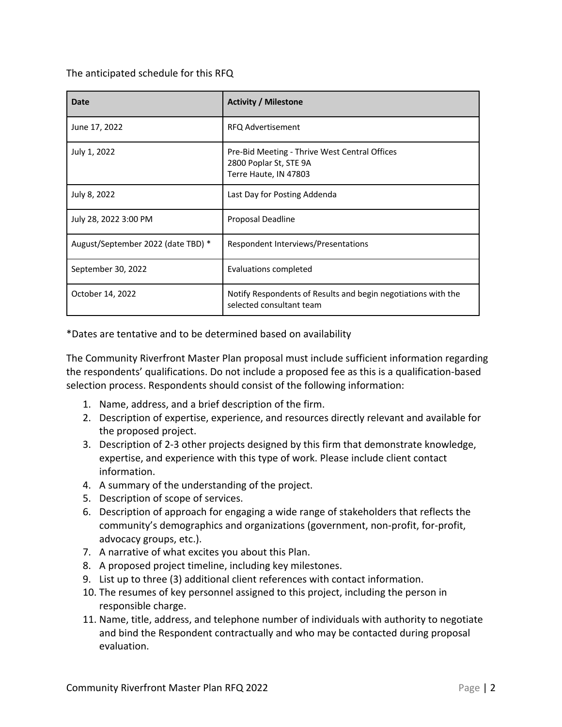The anticipated schedule for this RFQ

| <b>Date</b>                        | <b>Activity / Milestone</b>                                                                      |
|------------------------------------|--------------------------------------------------------------------------------------------------|
| June 17, 2022                      | RFQ Advertisement                                                                                |
| July 1, 2022                       | Pre-Bid Meeting - Thrive West Central Offices<br>2800 Poplar St, STE 9A<br>Terre Haute, IN 47803 |
| July 8, 2022                       | Last Day for Posting Addenda                                                                     |
| July 28, 2022 3:00 PM              | Proposal Deadline                                                                                |
| August/September 2022 (date TBD) * | Respondent Interviews/Presentations                                                              |
| September 30, 2022                 | Evaluations completed                                                                            |
| October 14, 2022                   | Notify Respondents of Results and begin negotiations with the<br>selected consultant team        |

\*Dates are tentative and to be determined based on availability

The Community Riverfront Master Plan proposal must include sufficient information regarding the respondents' qualifications. Do not include a proposed fee as this is a qualification-based selection process. Respondents should consist of the following information:

- 1. Name, address, and a brief description of the firm.
- 2. Description of expertise, experience, and resources directly relevant and available for the proposed project.
- 3. Description of 2-3 other projects designed by this firm that demonstrate knowledge, expertise, and experience with this type of work. Please include client contact information.
- 4. A summary of the understanding of the project.
- 5. Description of scope of services.
- 6. Description of approach for engaging a wide range of stakeholders that reflects the community's demographics and organizations (government, non-profit, for-profit, advocacy groups, etc.).
- 7. A narrative of what excites you about this Plan.
- 8. A proposed project timeline, including key milestones.
- 9. List up to three (3) additional client references with contact information.
- 10. The resumes of key personnel assigned to this project, including the person in responsible charge.
- 11. Name, title, address, and telephone number of individuals with authority to negotiate and bind the Respondent contractually and who may be contacted during proposal evaluation.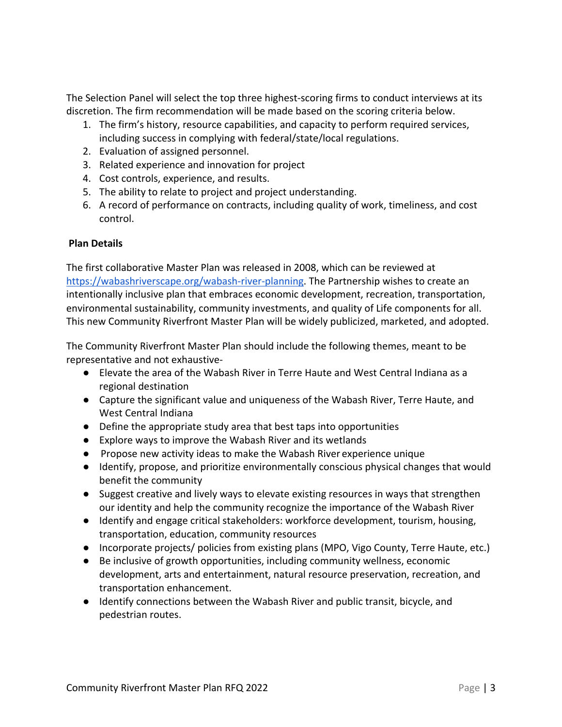The Selection Panel will select the top three highest-scoring firms to conduct interviews at its discretion. The firm recommendation will be made based on the scoring criteria below.

- 1. The firm's history, resource capabilities, and capacity to perform required services, including success in complying with federal/state/local regulations.
- 2. Evaluation of assigned personnel.
- 3. Related experience and innovation for project
- 4. Cost controls, experience, and results.
- 5. The ability to relate to project and project understanding.
- 6. A record of performance on contracts, including quality of work, timeliness, and cost control.

## **Plan Details**

The first collaborative Master Plan was released in 2008, which can be reviewed at https://wabashriverscape.org/wabash-river-planning. The Partnership wishes to create an intentionally inclusive plan that embraces economic development, recreation, transportation, environmental sustainability, community investments, and quality of Life components for all. This new Community Riverfront Master Plan will be widely publicized, marketed, and adopted.

The Community Riverfront Master Plan should include the following themes, meant to be representative and not exhaustive-

- Elevate the area of the Wabash River in Terre Haute and West Central Indiana as a regional destination
- Capture the significant value and uniqueness of the Wabash River, Terre Haute, and West Central Indiana
- Define the appropriate study area that best taps into opportunities
- Explore ways to improve the Wabash River and its wetlands
- Propose new activity ideas to make the Wabash River experience unique
- Identify, propose, and prioritize environmentally conscious physical changes that would benefit the community
- Suggest creative and lively ways to elevate existing resources in ways that strengthen our identity and help the community recognize the importance of the Wabash River
- Identify and engage critical stakeholders: workforce development, tourism, housing, transportation, education, community resources
- Incorporate projects/ policies from existing plans (MPO, Vigo County, Terre Haute, etc.)
- Be inclusive of growth opportunities, including community wellness, economic development, arts and entertainment, natural resource preservation, recreation, and transportation enhancement.
- Identify connections between the Wabash River and public transit, bicycle, and pedestrian routes.